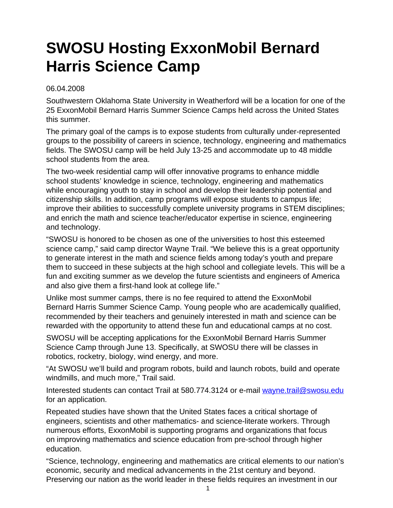## **SWOSU Hosting ExxonMobil Bernard Harris Science Camp**

## 06.04.2008

Southwestern Oklahoma State University in Weatherford will be a location for one of the 25 ExxonMobil Bernard Harris Summer Science Camps held across the United States this summer.

The primary goal of the camps is to expose students from culturally under-represented groups to the possibility of careers in science, technology, engineering and mathematics fields. The SWOSU camp will be held July 13-25 and accommodate up to 48 middle school students from the area.

The two-week residential camp will offer innovative programs to enhance middle school students' knowledge in science, technology, engineering and mathematics while encouraging youth to stay in school and develop their leadership potential and citizenship skills. In addition, camp programs will expose students to campus life; improve their abilities to successfully complete university programs in STEM disciplines; and enrich the math and science teacher/educator expertise in science, engineering and technology.

"SWOSU is honored to be chosen as one of the universities to host this esteemed science camp," said camp director Wayne Trail. "We believe this is a great opportunity to generate interest in the math and science fields among today's youth and prepare them to succeed in these subjects at the high school and collegiate levels. This will be a fun and exciting summer as we develop the future scientists and engineers of America and also give them a first-hand look at college life."

Unlike most summer camps, there is no fee required to attend the ExxonMobil Bernard Harris Summer Science Camp. Young people who are academically qualified, recommended by their teachers and genuinely interested in math and science can be rewarded with the opportunity to attend these fun and educational camps at no cost.

SWOSU will be accepting applications for the ExxonMobil Bernard Harris Summer Science Camp through June 13. Specifically, at SWOSU there will be classes in robotics, rocketry, biology, wind energy, and more.

"At SWOSU we'll build and program robots, build and launch robots, build and operate windmills, and much more," Trail said.

Interested students can contact Trail at 580.774.3124 or e-mail [wayne.trail@swosu.edu](mailto:wayne.trail@swosu.edu) for an application.

Repeated studies have shown that the United States faces a critical shortage of engineers, scientists and other mathematics- and science-literate workers. Through numerous efforts, ExxonMobil is supporting programs and organizations that focus on improving mathematics and science education from pre-school through higher education.

"Science, technology, engineering and mathematics are critical elements to our nation's economic, security and medical advancements in the 21st century and beyond. Preserving our nation as the world leader in these fields requires an investment in our